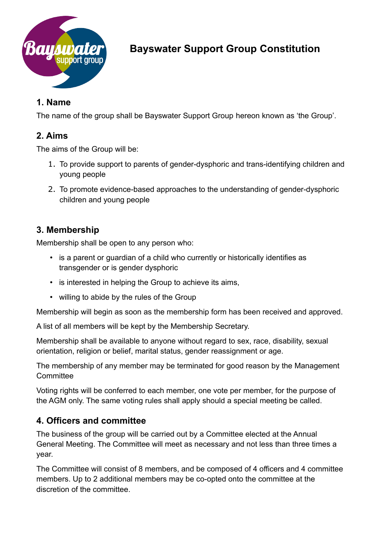

# **Bayswater Support Group Constitution**

### **1. Name**

The name of the group shall be Bayswater Support Group hereon known as 'the Group'.

### **2. Aims**

The aims of the Group will be:

- 1. To provide support to parents of gender-dysphoric and trans-identifying children and young people
- 2. To promote evidence-based approaches to the understanding of gender-dysphoric children and young people

### **3. Membership**

Membership shall be open to any person who:

- is a parent or guardian of a child who currently or historically identifies as transgender or is gender dysphoric
- is interested in helping the Group to achieve its aims,
- willing to abide by the rules of the Group

Membership will begin as soon as the membership form has been received and approved.

A list of all members will be kept by the Membership Secretary.

Membership shall be available to anyone without regard to sex, race, disability, sexual orientation, religion or belief, marital status, gender reassignment or age.

The membership of any member may be terminated for good reason by the Management Committee

Voting rights will be conferred to each member, one vote per member, for the purpose of the AGM only. The same voting rules shall apply should a special meeting be called.

### **4. Officers and committee**

The business of the group will be carried out by a Committee elected at the Annual General Meeting. The Committee will meet as necessary and not less than three times a year.

The Committee will consist of 8 members, and be composed of 4 officers and 4 committee members. Up to 2 additional members may be co-opted onto the committee at the discretion of the committee.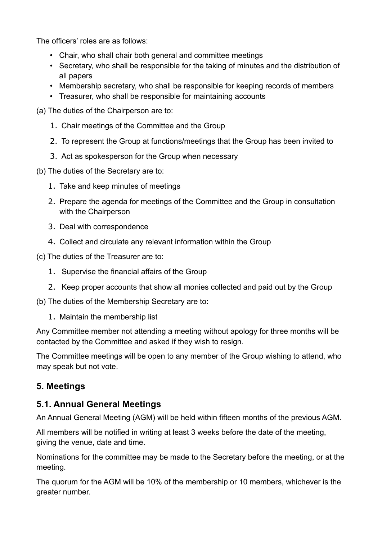The officers' roles are as follows:

- Chair, who shall chair both general and committee meetings
- Secretary, who shall be responsible for the taking of minutes and the distribution of all papers
- Membership secretary, who shall be responsible for keeping records of members
- Treasurer, who shall be responsible for maintaining accounts
- (a) The duties of the Chairperson are to:
	- 1. Chair meetings of the Committee and the Group
	- 2. To represent the Group at functions/meetings that the Group has been invited to
	- 3. Act as spokesperson for the Group when necessary
- (b) The duties of the Secretary are to:
	- 1. Take and keep minutes of meetings
	- 2. Prepare the agenda for meetings of the Committee and the Group in consultation with the Chairperson
	- 3. Deal with correspondence
	- 4. Collect and circulate any relevant information within the Group

(c) The duties of the Treasurer are to:

- 1. Supervise the financial affairs of the Group
- 2. Keep proper accounts that show all monies collected and paid out by the Group
- (b) The duties of the Membership Secretary are to:
	- 1. Maintain the membership list

Any Committee member not attending a meeting without apology for three months will be contacted by the Committee and asked if they wish to resign.

The Committee meetings will be open to any member of the Group wishing to attend, who may speak but not vote.

### **5. Meetings**

#### **5.1. Annual General Meetings**

An Annual General Meeting (AGM) will be held within fifteen months of the previous AGM.

All members will be notified in writing at least 3 weeks before the date of the meeting, giving the venue, date and time.

Nominations for the committee may be made to the Secretary before the meeting, or at the meeting.

The quorum for the AGM will be 10% of the membership or 10 members, whichever is the greater number.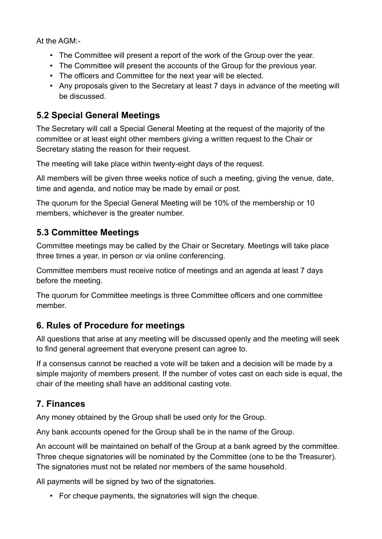At the AGM:-

- The Committee will present a report of the work of the Group over the year.
- The Committee will present the accounts of the Group for the previous year.
- The officers and Committee for the next year will be elected.
- Any proposals given to the Secretary at least 7 days in advance of the meeting will be discussed.

## **5.2 Special General Meetings**

The Secretary will call a Special General Meeting at the request of the majority of the committee or at least eight other members giving a written request to the Chair or Secretary stating the reason for their request.

The meeting will take place within twenty-eight days of the request.

All members will be given three weeks notice of such a meeting, giving the venue, date, time and agenda, and notice may be made by email or post.

The quorum for the Special General Meeting will be 10% of the membership or 10 members, whichever is the greater number.

### **5.3 Committee Meetings**

Committee meetings may be called by the Chair or Secretary. Meetings will take place three times a year, in person or via online conferencing.

Committee members must receive notice of meetings and an agenda at least 7 days before the meeting.

The quorum for Committee meetings is three Committee officers and one committee member.

### **6. Rules of Procedure for meetings**

All questions that arise at any meeting will be discussed openly and the meeting will seek to find general agreement that everyone present can agree to.

If a consensus cannot be reached a vote will be taken and a decision will be made by a simple majority of members present. If the number of votes cast on each side is equal, the chair of the meeting shall have an additional casting vote.

# **7. Finances**

Any money obtained by the Group shall be used only for the Group.

Any bank accounts opened for the Group shall be in the name of the Group.

An account will be maintained on behalf of the Group at a bank agreed by the committee. Three cheque signatories will be nominated by the Committee (one to be the Treasurer). The signatories must not be related nor members of the same household.

All payments will be signed by two of the signatories.

• For cheque payments, the signatories will sign the cheque.